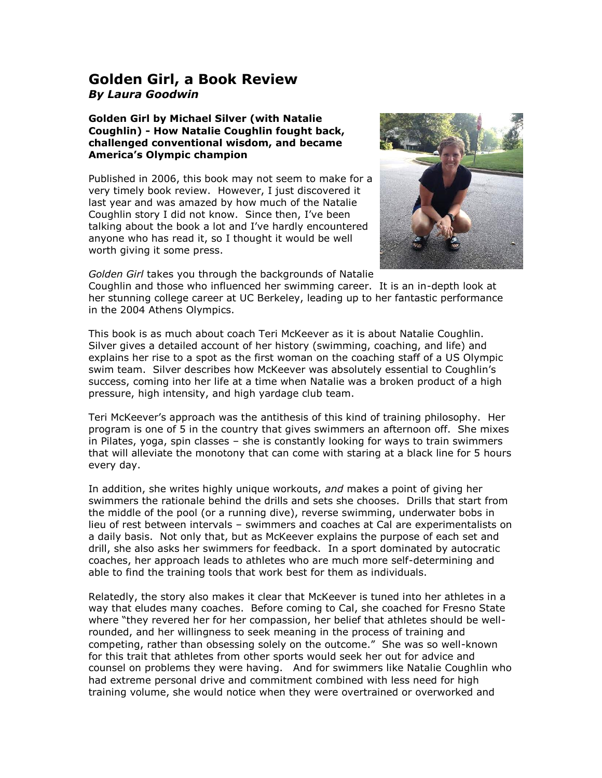## **Golden Girl, a Book Review** *By Laura Goodwin*

**Golden Girl by Michael Silver (with Natalie Coughlin) - How Natalie Coughlin fought back, challenged conventional wisdom, and became America's Olympic champion**

Published in 2006, this book may not seem to make for a very timely book review. However, I just discovered it last year and was amazed by how much of the Natalie Coughlin story I did not know. Since then, I've been talking about the book a lot and I've hardly encountered anyone who has read it, so I thought it would be well worth giving it some press.



*Golden Girl* takes you through the backgrounds of Natalie

Coughlin and those who influenced her swimming career. It is an in-depth look at her stunning college career at UC Berkeley, leading up to her fantastic performance in the 2004 Athens Olympics.

This book is as much about coach Teri McKeever as it is about Natalie Coughlin. Silver gives a detailed account of her history (swimming, coaching, and life) and explains her rise to a spot as the first woman on the coaching staff of a US Olympic swim team. Silver describes how McKeever was absolutely essential to Coughlin's success, coming into her life at a time when Natalie was a broken product of a high pressure, high intensity, and high yardage club team.

Teri McKeever's approach was the antithesis of this kind of training philosophy. Her program is one of 5 in the country that gives swimmers an afternoon off. She mixes in Pilates, yoga, spin classes – she is constantly looking for ways to train swimmers that will alleviate the monotony that can come with staring at a black line for 5 hours every day.

In addition, she writes highly unique workouts, *and* makes a point of giving her swimmers the rationale behind the drills and sets she chooses. Drills that start from the middle of the pool (or a running dive), reverse swimming, underwater bobs in lieu of rest between intervals – swimmers and coaches at Cal are experimentalists on a daily basis. Not only that, but as McKeever explains the purpose of each set and drill, she also asks her swimmers for feedback. In a sport dominated by autocratic coaches, her approach leads to athletes who are much more self-determining and able to find the training tools that work best for them as individuals.

Relatedly, the story also makes it clear that McKeever is tuned into her athletes in a way that eludes many coaches. Before coming to Cal, she coached for Fresno State where "they revered her for her compassion, her belief that athletes should be wellrounded, and her willingness to seek meaning in the process of training and competing, rather than obsessing solely on the outcome." She was so well-known for this trait that athletes from other sports would seek her out for advice and counsel on problems they were having. And for swimmers like Natalie Coughlin who had extreme personal drive and commitment combined with less need for high training volume, she would notice when they were overtrained or overworked and